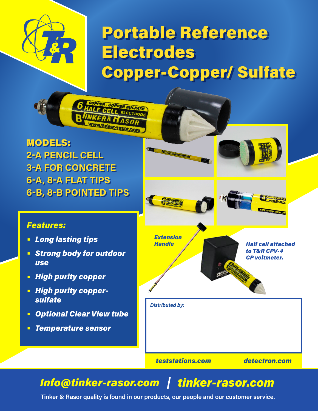# Portable Reference Electrodes Copper-Copper/ Sulfate

MODELS: **2-A PENCIL CELL 3-A FOR CONCRETE 6-A, 8-A FLAT TIPS 6-B, 8-B POINTED TIPS**

PER SULFATE

## *Features:*

- **•** *Long lasting tips*
- **•** *Strong body for outdoor use*
- **•** *High purity copper*
- **•** *High purity coppersulfate*
- **•** *Optional Clear View tube*
- **•** *Temperature sensor*



# *Info@tinker-rasor.com tinker-rasor.com*

**Tinker & Rasor quality is found in our products, our people and our customer service.**